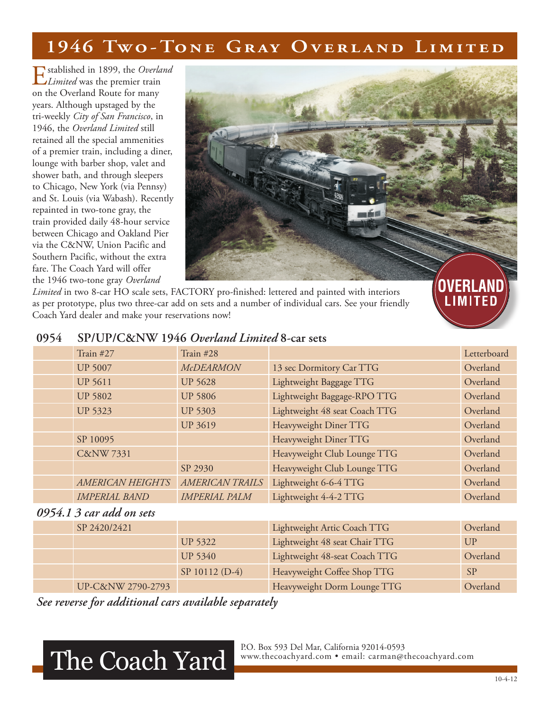### **1946 TWO-TONE GRAY OVERLAND LIMITED**

Established in 1899, the *Overland Limited* was the premier train on the Overland Route for many years. Although upstaged by the tri-weekly *City of San Francisco*, in 1946, the *Overland Limited* still retained all the special ammenities of a premier train, including a diner, lounge with barber shop, valet and shower bath, and through sleepers to Chicago, New York (via Pennsy) and St. Louis (via Wabash). Recently repainted in two-tone gray, the train provided daily 48-hour service between Chicago and Oakland Pier via the C&NW, Union Pacific and Southern Pacific, without the extra fare. The Coach Yard will offer the 1946 two-tone gray *Overland* 



*Limited* in two 8-car HO scale sets, FACTORY pro-finished: lettered and painted with interiors as per prototype, plus two three-car add on sets and a number of individual cars. See your friendly Coach Yard dealer and make your reservations now!

| Train #28<br>Letterboard<br>Train #27<br><b>McDEARMON</b><br><b>UP 5007</b><br>13 sec Dormitory Car TTG<br>Overland<br>Lightweight Baggage TTG<br><b>UP 5628</b><br>Overland<br><b>UP 5611</b><br>Lightweight Baggage-RPO TTG<br><b>UP 5802</b><br><b>UP 5806</b><br>Overland<br>Lightweight 48 seat Coach TTG<br><b>UP 5323</b><br><b>UP 5303</b><br>Overland<br>Heavyweight Diner TTG<br><b>UP 3619</b><br>Overland<br>Heavyweight Diner TTG<br>SP 10095<br>Overland<br>Heavyweight Club Lounge TTG<br><b>C&amp;NW 7331</b><br>Overland<br>Heavyweight Club Lounge TTG<br>Overland<br>SP 2930<br>Lightweight 6-6-4 TTG<br><b>AMERICAN TRAILS</b><br><b>AMERICAN HEIGHTS</b><br>Overland<br>Lightweight 4-4-2 TTG<br><b>IMPERIAL PALM</b><br><b>IMPERIAL BAND</b><br>Overland | Vフノサ | 31 / UT / C&IN W 1940 <i>Overtana Limited</i> 6-cal sets |  |  |  |  |  |
|--------------------------------------------------------------------------------------------------------------------------------------------------------------------------------------------------------------------------------------------------------------------------------------------------------------------------------------------------------------------------------------------------------------------------------------------------------------------------------------------------------------------------------------------------------------------------------------------------------------------------------------------------------------------------------------------------------------------------------------------------------------------------------|------|----------------------------------------------------------|--|--|--|--|--|
|                                                                                                                                                                                                                                                                                                                                                                                                                                                                                                                                                                                                                                                                                                                                                                                |      |                                                          |  |  |  |  |  |
|                                                                                                                                                                                                                                                                                                                                                                                                                                                                                                                                                                                                                                                                                                                                                                                |      |                                                          |  |  |  |  |  |
|                                                                                                                                                                                                                                                                                                                                                                                                                                                                                                                                                                                                                                                                                                                                                                                |      |                                                          |  |  |  |  |  |
|                                                                                                                                                                                                                                                                                                                                                                                                                                                                                                                                                                                                                                                                                                                                                                                |      |                                                          |  |  |  |  |  |
|                                                                                                                                                                                                                                                                                                                                                                                                                                                                                                                                                                                                                                                                                                                                                                                |      |                                                          |  |  |  |  |  |
|                                                                                                                                                                                                                                                                                                                                                                                                                                                                                                                                                                                                                                                                                                                                                                                |      |                                                          |  |  |  |  |  |
|                                                                                                                                                                                                                                                                                                                                                                                                                                                                                                                                                                                                                                                                                                                                                                                |      |                                                          |  |  |  |  |  |
|                                                                                                                                                                                                                                                                                                                                                                                                                                                                                                                                                                                                                                                                                                                                                                                |      |                                                          |  |  |  |  |  |
|                                                                                                                                                                                                                                                                                                                                                                                                                                                                                                                                                                                                                                                                                                                                                                                |      |                                                          |  |  |  |  |  |
|                                                                                                                                                                                                                                                                                                                                                                                                                                                                                                                                                                                                                                                                                                                                                                                |      |                                                          |  |  |  |  |  |
|                                                                                                                                                                                                                                                                                                                                                                                                                                                                                                                                                                                                                                                                                                                                                                                |      |                                                          |  |  |  |  |  |

### **0954 SP/UP/C&NW 1946** *Overland Limited* **8-car sets**

### *0954.1 3 car add on sets*

| SP 2420/2421      |                | Lightweight Artic Coach TTG   | Overland  |
|-------------------|----------------|-------------------------------|-----------|
|                   | <b>UP 5322</b> | Lightweight 48 seat Chair TTG | UP        |
|                   | <b>UP 5340</b> | Lightweight 48-seat Coach TTG | Overland  |
|                   | SP 10112 (D-4) | Heavyweight Coffee Shop TTG   | <b>SP</b> |
| UP-C&NW 2790-2793 |                | Heavyweight Dorm Lounge TTG   | Overland  |

*See reverse for additional cars available separately*

# The Coach Yard

P.O. Box 593 Del Mar, California 92014-0593<br>www.thecoachyard.com • email: carman@thecoachyard.com

**LIMITED**